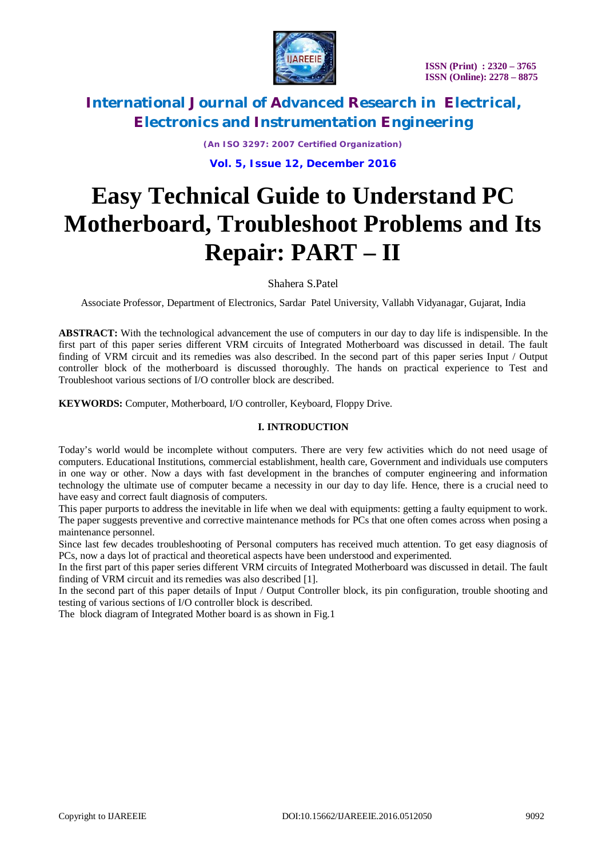

*(An ISO 3297: 2007 Certified Organization)* **Vol. 5, Issue 12, December 2016**

# **Easy Technical Guide to Understand PC Motherboard, Troubleshoot Problems and Its Repair: PART – II**

Shahera S.Patel

Associate Professor, Department of Electronics, Sardar Patel University, Vallabh Vidyanagar, Gujarat, India

**ABSTRACT:** With the technological advancement the use of computers in our day to day life is indispensible. In the first part of this paper series different VRM circuits of Integrated Motherboard was discussed in detail. The fault finding of VRM circuit and its remedies was also described. In the second part of this paper series Input / Output controller block of the motherboard is discussed thoroughly. The hands on practical experience to Test and Troubleshoot various sections of I/O controller block are described.

**KEYWORDS:** Computer, Motherboard, I/O controller, Keyboard, Floppy Drive.

# **I. INTRODUCTION**

Today's world would be incomplete without computers. There are very few activities which do not need usage of computers. Educational Institutions, commercial establishment, health care, Government and individuals use computers in one way or other. Now a days with fast development in the branches of computer engineering and information technology the ultimate use of computer became a necessity in our day to day life. Hence, there is a crucial need to have easy and correct fault diagnosis of computers.

This paper purports to address the inevitable in life when we deal with equipments: getting a faulty equipment to work. The paper suggests preventive and corrective maintenance methods for PCs that one often comes across when posing a maintenance personnel.

Since last few decades troubleshooting of Personal computers has received much attention. To get easy diagnosis of PCs, now a days lot of practical and theoretical aspects have been understood and experimented.

In the first part of this paper series different VRM circuits of Integrated Motherboard was discussed in detail. The fault finding of VRM circuit and its remedies was also described [1].

In the second part of this paper details of Input / Output Controller block, its pin configuration, trouble shooting and testing of various sections of I/O controller block is described.

The block diagram of Integrated Mother board is as shown in Fig.1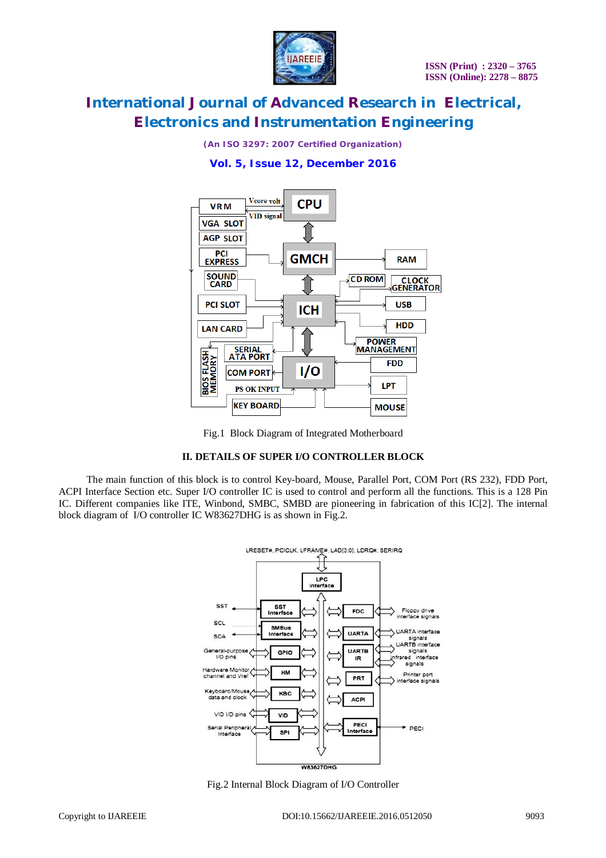

*(An ISO 3297: 2007 Certified Organization)*





Fig.1 Block Diagram of Integrated Motherboard

# **II. DETAILS OF SUPER I/O CONTROLLER BLOCK**

The main function of this block is to control Key-board, Mouse, Parallel Port, COM Port (RS 232), FDD Port, ACPI Interface Section etc. Super I/O controller IC is used to control and perform all the functions. This is a 128 Pin IC. Different companies like ITE, Winbond, SMBC, SMBD are pioneering in fabrication of this IC[2]. The internal block diagram of I/O controller IC W83627DHG is as shown in Fig.2.



Fig.2 Internal Block Diagram of I/O Controller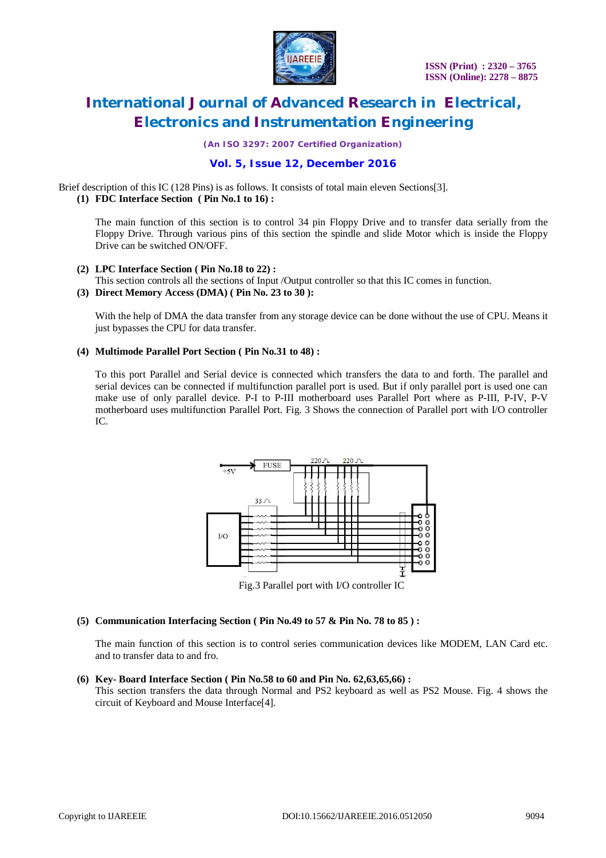

*(An ISO 3297: 2007 Certified Organization)*

# **Vol. 5, Issue 12, December 2016**

Brief description of this IC (128 Pins) is as follows. It consists of total main eleven Sections[3].

# **(1) FDC Interface Section ( Pin No.1 to 16) :**

The main function of this section is to control 34 pin Floppy Drive and to transfer data serially from the Floppy Drive. Through various pins of this section the spindle and slide Motor which is inside the Floppy Drive can be switched ON/OFF.

- **(2) LPC Interface Section ( Pin No.18 to 22) :**
- This section controls all the sections of Input /Output controller so that this IC comes in function.
- **(3) Direct Memory Access (DMA) ( Pin No. 23 to 30 ):**

With the help of DMA the data transfer from any storage device can be done without the use of CPU. Means it just bypasses the CPU for data transfer.

# **(4) Multimode Parallel Port Section ( Pin No.31 to 48) :**

To this port Parallel and Serial device is connected which transfers the data to and forth. The parallel and serial devices can be connected if multifunction parallel port is used. But if only parallel port is used one can make use of only parallel device. P-I to P-III motherboard uses Parallel Port where as P-III, P-IV, P-V motherboard uses multifunction Parallel Port. Fig. 3 Shows the connection of Parallel port with I/O controller  $IC$ 



Fig.3 Parallel port with I/O controller IC

## **(5) Communication Interfacing Section ( Pin No.49 to 57 & Pin No. 78 to 85 ) :**

The main function of this section is to control series communication devices like MODEM, LAN Card etc. and to transfer data to and fro.

# **(6) Key- Board Interface Section ( Pin No.58 to 60 and Pin No. 62,63,65,66) :**

This section transfers the data through Normal and PS2 keyboard as well as PS2 Mouse. Fig. 4 shows the circuit of Keyboard and Mouse Interface[4].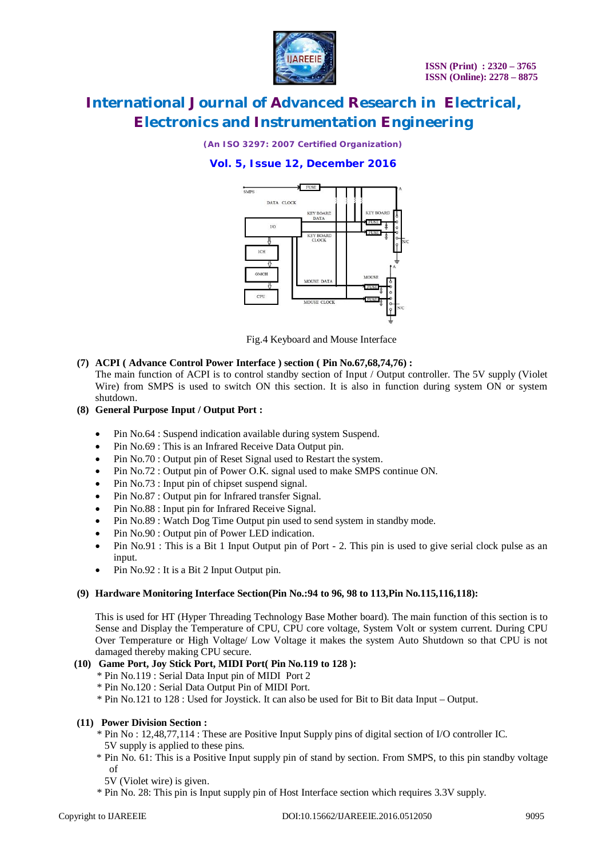

*(An ISO 3297: 2007 Certified Organization)*

# **Vol. 5, Issue 12, December 2016**



Fig.4 Keyboard and Mouse Interface

# **(7) ACPI ( Advance Control Power Interface ) section ( Pin No.67,68,74,76) :**

The main function of ACPI is to control standby section of Input / Output controller. The 5V supply (Violet Wire) from SMPS is used to switch ON this section. It is also in function during system ON or system shutdown.

- **(8) General Purpose Input / Output Port :**
	- Pin No.64 : Suspend indication available during system Suspend.
	- Pin No.69 : This is an Infrared Receive Data Output pin.
	- Pin No.70 : Output pin of Reset Signal used to Restart the system.
	- Pin No.72 : Output pin of Power O.K. signal used to make SMPS continue ON.
	- Pin No.73 : Input pin of chipset suspend signal.
	- Pin No.87 : Output pin for Infrared transfer Signal.
	- Pin No.88 : Input pin for Infrared Receive Signal.
	- Pin No.89 : Watch Dog Time Output pin used to send system in standby mode.
	- Pin No.90 : Output pin of Power LED indication.
	- Pin No.91 : This is a Bit 1 Input Output pin of Port 2. This pin is used to give serial clock pulse as an input.
	- Pin No.92 : It is a Bit 2 Input Output pin.

## **(9) Hardware Monitoring Interface Section(Pin No.:94 to 96, 98 to 113,Pin No.115,116,118):**

This is used for HT (Hyper Threading Technology Base Mother board). The main function of this section is to Sense and Display the Temperature of CPU, CPU core voltage, System Volt or system current. During CPU Over Temperature or High Voltage/ Low Voltage it makes the system Auto Shutdown so that CPU is not damaged thereby making CPU secure.

# **(10) Game Port, Joy Stick Port, MIDI Port( Pin No.119 to 128 ):**

- \* Pin No.119 : Serial Data Input pin of MIDI Port 2
- \* Pin No.120 : Serial Data Output Pin of MIDI Port.
- \* Pin No.121 to 128 : Used for Joystick. It can also be used for Bit to Bit data Input Output.

## **(11) Power Division Section :**

- \* Pin No : 12,48,77,114 : These are Positive Input Supply pins of digital section of I/O controller IC. 5V supply is applied to these pins.
- \* Pin No. 61: This is a Positive Input supply pin of stand by section. From SMPS, to this pin standby voltage of
- 5V (Violet wire) is given.
- \* Pin No. 28: This pin is Input supply pin of Host Interface section which requires 3.3V supply.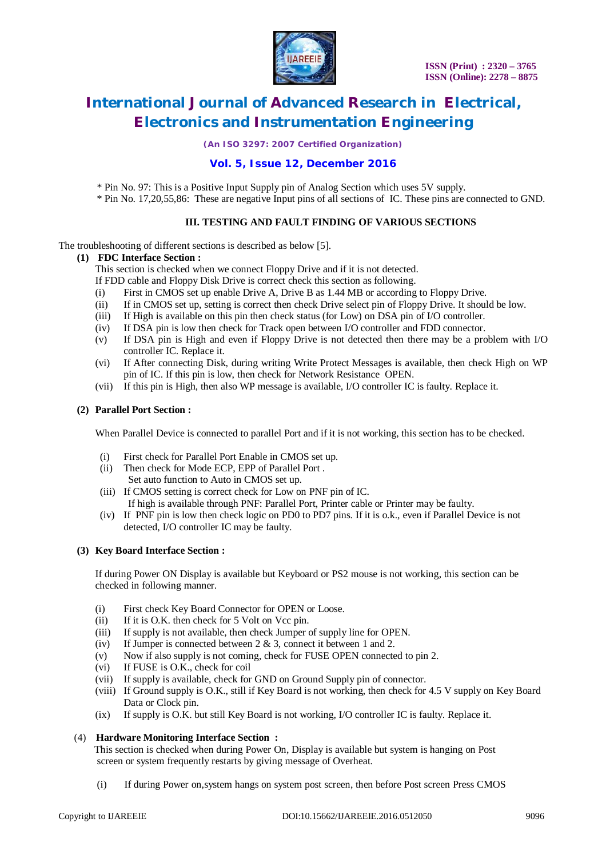

*(An ISO 3297: 2007 Certified Organization)*

# **Vol. 5, Issue 12, December 2016**

\* Pin No. 97: This is a Positive Input Supply pin of Analog Section which uses 5V supply.

\* Pin No. 17,20,55,86: These are negative Input pins of all sections of IC. These pins are connected to GND.

# **III. TESTING AND FAULT FINDING OF VARIOUS SECTIONS**

The troubleshooting of different sections is described as below [5].

## **(1) FDC Interface Section :**

This section is checked when we connect Floppy Drive and if it is not detected.

- If FDD cable and Floppy Disk Drive is correct check this section as following.
- (i) First in CMOS set up enable Drive A, Drive B as 1.44 MB or according to Floppy Drive.
- (ii) If in CMOS set up, setting is correct then check Drive select pin of Floppy Drive. It should be low.
- (iii) If High is available on this pin then check status (for Low) on DSA pin of I/O controller.
- (iv) If DSA pin is low then check for Track open between I/O controller and FDD connector.
- (v) If DSA pin is High and even if Floppy Drive is not detected then there may be a problem with I/O controller IC. Replace it.
- (vi) If After connecting Disk, during writing Write Protect Messages is available, then check High on WP pin of IC. If this pin is low, then check for Network Resistance OPEN.
- (vii) If this pin is High, then also WP message is available, I/O controller IC is faulty. Replace it.

## **(2) Parallel Port Section :**

When Parallel Device is connected to parallel Port and if it is not working, this section has to be checked.

- (i) First check for Parallel Port Enable in CMOS set up.
- (ii) Then check for Mode ECP, EPP of Parallel Port .
	- Set auto function to Auto in CMOS set up.
- (iii) If CMOS setting is correct check for Low on PNF pin of IC. If high is available through PNF: Parallel Port, Printer cable or Printer may be faulty.
- (iv) If PNF pin is low then check logic on PD0 to PD7 pins. If it is o.k., even if Parallel Device is not detected, I/O controller IC may be faulty.

## **(3) Key Board Interface Section :**

If during Power ON Display is available but Keyboard or PS2 mouse is not working, this section can be checked in following manner.

- (i) First check Key Board Connector for OPEN or Loose.
- (ii) If it is O.K. then check for 5 Volt on Vcc pin.
- (iii) If supply is not available, then check Jumper of supply line for OPEN.
- (iv) If Jumper is connected between  $2 \& 3$ , connect it between 1 and 2.
- (v) Now if also supply is not coming, check for FUSE OPEN connected to pin 2.
- (vi) If FUSE is O.K., check for coil
- (vii) If supply is available, check for GND on Ground Supply pin of connector.
- (viii) If Ground supply is O.K., still if Key Board is not working, then check for 4.5 V supply on Key Board Data or Clock pin.
- (ix) If supply is O.K. but still Key Board is not working, I/O controller IC is faulty. Replace it.

## (4) **Hardware Monitoring Interface Section :**

 This section is checked when during Power On, Display is available but system is hanging on Post screen or system frequently restarts by giving message of Overheat.

(i) If during Power on,system hangs on system post screen, then before Post screen Press CMOS